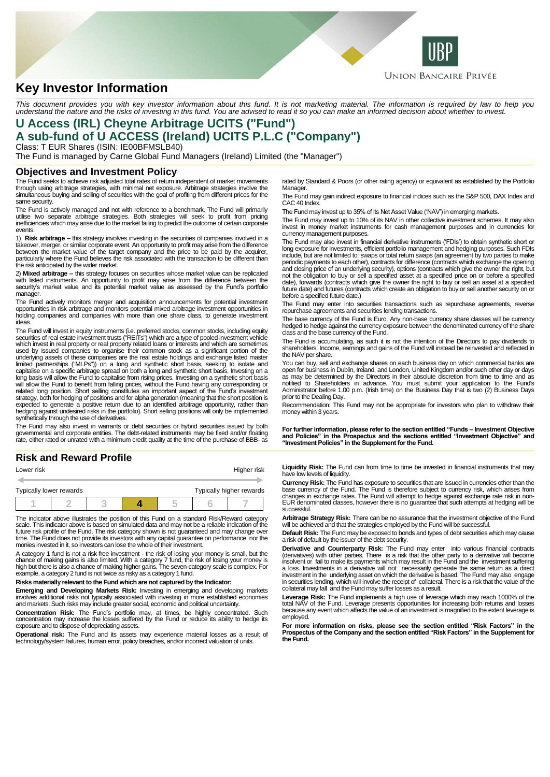

# **Key Investor Information**

This document provides you with key investor information about this fund. It is not marketing material. The information is required by law to help you<br>understand the nature and the risks of investing in this fund. You are

### **U Access (IRL) Cheyne Arbitrage UCITS ("Fund") A sub-fund of U ACCESS (Ireland) UCITS P.L.C ("Company")** Class: T EUR Shares (ISIN: IE00BFMSLB40)

The Fund is managed by Carne Global Fund Managers (Ireland) Limited (the "Manager")

### **Objectives and Investment Policy**

The Fund seeks to achieve risk adjusted total rates of return independent of market movements through using arbitrage strategies, with minimal net exposure. Arbitrage strategies involve the simultaneous buying and selling of securities with the goal of profiting from different prices for the same security.

The Fund is actively managed and not with reference to a benchmark. The Fund will primarily<br>utilise two separate arbitrage strategies. Both strategies will seek to profit from pricing<br>inefficiencies which may a events.

1) **Risk arbitrage –** this strategy involves investing in the securities of companies involved in a takeover, merger, or similar corporate event. An opportunity to profit may arise from the difference between the market value of the target company and the price to be paid by the acquirer, particularly where the Fund believes the risk associated with the transaction to be different than the risk anticipated by the wider market.

2) **Mixed arbitrage –** this strategy focuses on securities whose market value can be replicated with listed instruments. An opportunity to profit may arise from the difference between the security's market value and its potential market value as assessed by the Fund's portfolio manager.

The Fund actively monitors merger and acquisition announcements for potential investment opportunities in risk arbitrage and monitors potential mixed arbitrage investment opportunities in holding companies and companies with more than one share class, to generate investment ideas.

The Fund will invest in equity instruments (i.e. preferred stocks, common stocks, including equity securities of real estate investment trusts ("REITs") which are a type of pooled investment vehicle which invest in real property or real property related loans or interests and which are sometimes used by issued companies to organise their common stock as a significant portion of the underlying assets of these companies are the real estate holdings and exchange listed master limited partnerships ("MLPs")) on a long and synthetic short basis, seeking to isolate and capitalise on a specific arbitrage spread on both a long and synthetic short basis. Investing on a long basis will allow the Fund to capitalise from rising prices. Investing on a synthetic short basis will allow the Fund to benefit from falling prices, without the Fund having any corresponding or<br>elated long position. Short selling constitutes an important aspect of the Fund's investment<br>strategy, both for hedging of po synthetically through the use of derivatives.

The Fund may also invest in warrants or debt securities or hybrid securities issued by both governmental and corporate entities. The debt-related instruments may be fixed and/or floating rate, either rated or unrated with a minimum credit quality at the time of the purchase of BBB- as

# **Risk and Reward Profile**

| Lower risk              |  |  | Higher risk |  |                          |
|-------------------------|--|--|-------------|--|--------------------------|
|                         |  |  |             |  |                          |
| Typically lower rewards |  |  |             |  | Typically higher rewards |
|                         |  |  |             |  |                          |

The indicator above illustrates the position of this Fund on a standard Risk/Reward category scale. This indicator above is based on simulated data and may not be a reliable indication of the<br>future risk profile of the Fund. The risk category shown is not guaranteed and may change over<br>time. The Fund does not prov monies invested in it, so investors can lose the whole of their investment.

A category 1 fund is not a risk-free investment - the risk of losing your money is small, but the chance of making gains is also limited. With a category 7 fund, the risk of losing your money is<br>high but there is also a chance of making higher gains. The seven-category scale is complex. For<br>example, a category 2 fund i

#### **Risks materially relevant to the Fund which are not captured by the Indicator:**

**Emerging and Developing Markets Risk:** Investing in emerging and developing markets involves additional risks not typically associated with investing in more established economies and markets. Such risks may include greater social, economic and political uncertainty.

**Concentration Risk:** The Fund's portfolio may, at times, be highly concentrated. Such concentration may increase the losses suffered by the Fund or reduce its ability to hedge its exposure and to dispose of depreciating assets.

**Operational risk:** The Fund and its assets may experience material losses as a result of technology/system failures, human error, policy breaches, and/or incorrect valuation of units.

rated by Standard & Poors (or other rating agency) or equivalent as established by the Portfolio Manager.

The Fund may gain indirect exposure to financial indices such as the S&P 500, DAX Index and CAC 40 Index

The Fund may invest up to 35% of its Net Asset Value ('NAV') in emerging markets.

The Fund may invest up to 10% of its NAV in other collective investment schemes. It may also invest in money market instruments for cash management purposes and in currencie currency management purposes.

The Fund may also invest in financial derivative instruments ('FDIs') to obtain synthetic short or long exposure for investments, efficient portfolio management and hedging purposes. Such FDIs include, but are not limited to: swaps or total return swaps (an agreement by two parties to make periodic payments to each other), contracts for difference (contracts which exchange the opening and closing price of an underlying security), options (contracts which give the owner the right, but not the obligation to buy or sell a specified asset at a specified price on or before a specified date), forwards (contracts which give the owner the right to buy or sell an asset at a specified future date) and futures (contracts which create an obligation to buy or sell another security on or before a specified future date.)

The Fund may enter into securities transactions such as repurchase agreements, reverse repurchase agreements and securities lending transactions.

The base currency of the Fund is Euro. Any non-base currency share classes will be currency hedged to hedge against the currency exposure between the denominated currency of the share class and the base currency of the Fund.

The Fund is accumulating, as such it is not the intention of the Directors to pay dividends to shareholders. Income, earnings and gains of the Fund will instead be reinvested and reflected in the NAV per share.

You can buy, sell and exchange shares on each business day on which commercial banks are open for business in Dublin, Ireland, and London, United Kingdom and/or such other day or days<br>as may be determined by the Directors in their absolute discretion from time to time and as<br>notified to Shareholders in advance Administrator before 1.00 p.m. (Irish time) on the Business Day that is two (2) Business Days prior to the Dealing Day.

Recommendation: This Fund may not be appropriate for investors who plan to withdraw their money within 3 years.

**For further information, please refer to the section entitled "Funds – Investment Objective and Policies" in the Prospectus and the sections entitled "Investment Objective" and "Investment Policies" in the Supplement for the Fund.**

**Liquidity Risk:** The Fund can from time to time be invested in financial instruments that may have low levels of liquidity.

**Currency Risk:** The Fund has exposure to securities that are issued in currencies other than the base currency of the Fund. The Fund is therefore subject to currency risk, which arises from changes in exchange rates. The Fund will attempt to hedge against exchange rate risk in non-EUR denominated classes, however there is no guarantee that such attempts at hedging will be successful.

**Arbitrage Strategy Risk:** There can be no assurance that the investment objective of the Fund will be achieved and that the strategies employed by the Fund will be successful.

**Default Risk:** The Fund may be exposed to bonds and types of debt securities which may cause a risk of default by the issuer of the debt security.

**Derivative and Counterparty Risk:** The Fund may enter into various financial contracts (derivatives) with other parties. There is a risk that the other party to a derivative will become insolvent or fail to make its payments which may result in the Fund and the investment suffering a loss. Investments in a derivative will not necessarily generate the same return as a direct investment in the underlying asset on which the derivative is based. The Fund may also engage in securities lending, which will involve the receipt of collateral. There is a risk that the value of the collateral may fall and the Fund may suffer losses as a result.

**Leverage Risk:** The Fund implements a high use of leverage which may reach 1000% of the total NAV of the Fund. Leverage presents opportunities for increasing both returns and losses because any event which affects the value of an investment is magnified to the extent leverage is employed.

**For more information on risks, please see the section entitled "Risk Factors" in the Prospectus of the Company and the section entitled "Risk Factors" in the Supplement for the Fund.**